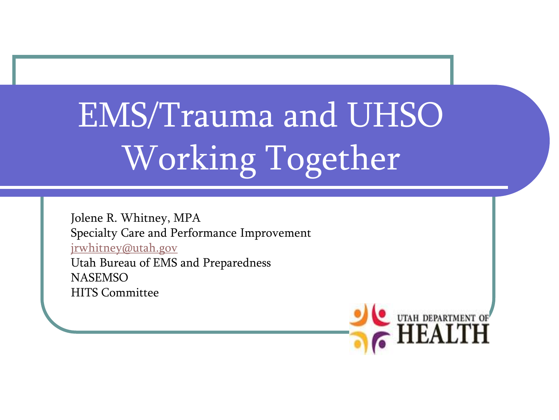# EMS/Trauma and UHSO Working Together

Jolene R. Whitney, MPA Specialty Care and Performance Improvement [jrwhitney@utah.gov](mailto:jrwhitney@utah.gov) Utah Bureau of EMS and Preparedness NASEMSO HITS Committee

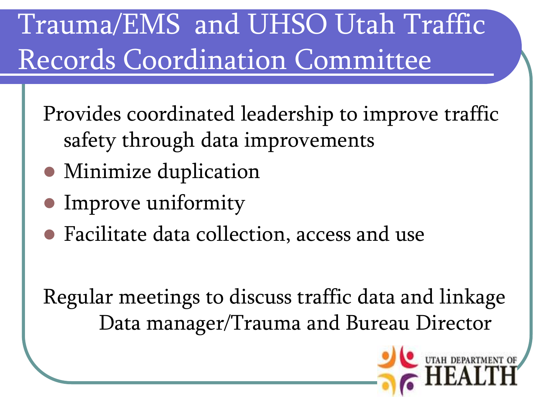## Trauma/EMS and UHSO Utah Traffic Records Coordination Committee

Provides coordinated leadership to improve traffic safety through data improvements

- Minimize duplication
- **Improve uniformity**
- Facilitate data collection, access and use

Regular meetings to discuss traffic data and linkage Data manager/Trauma and Bureau Director

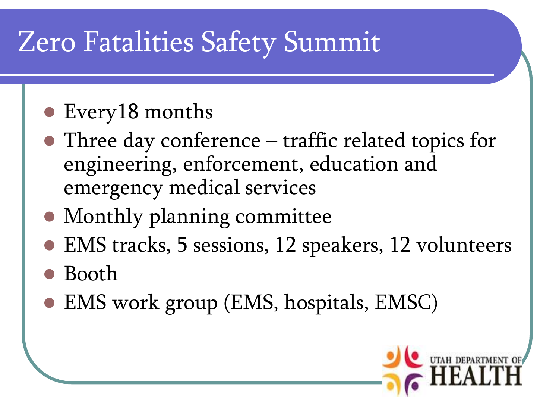### Zero Fatalities Safety Summit

#### ● Every18 months

- Three day conference traffic related topics for engineering, enforcement, education and emergency medical services
- Monthly planning committee
- EMS tracks, 5 sessions, 12 speakers, 12 volunteers
- Booth
- EMS work group (EMS, hospitals, EMSC)

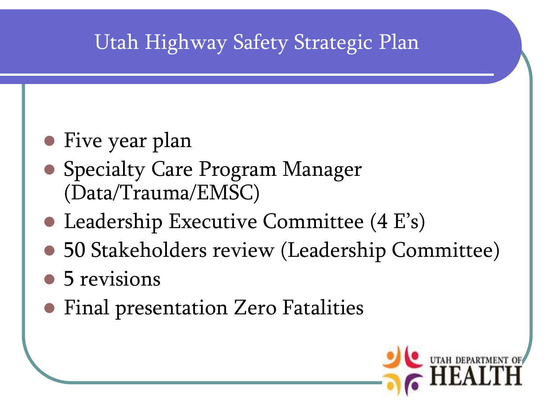#### Utah Highway Safety Strategic Plan

#### • Five year plan

- Specialty Care Program Manager (Data/Trauma/EMSC)
- Leadership Executive Committee (4 E's)
- 50 Stakeholders review (Leadership Committee)

#### • 5 revisions

Final presentation Zero Fatalities

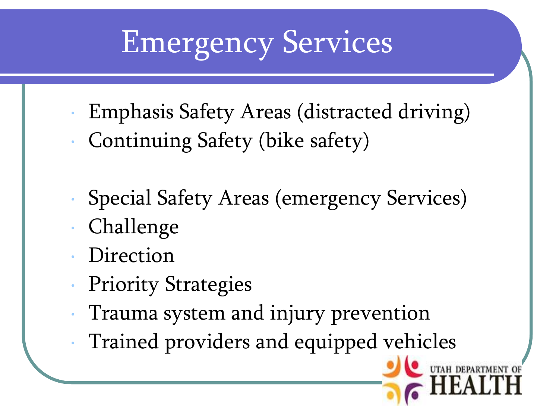# Emergency Services

- Emphasis Safety Areas (distracted driving)
- Continuing Safety (bike safety)
- Special Safety Areas (emergency Services)
- Challenge
- **Direction**
- **Priority Strategies**
- Trauma system and injury prevention
- Trained providers and equipped vehicles

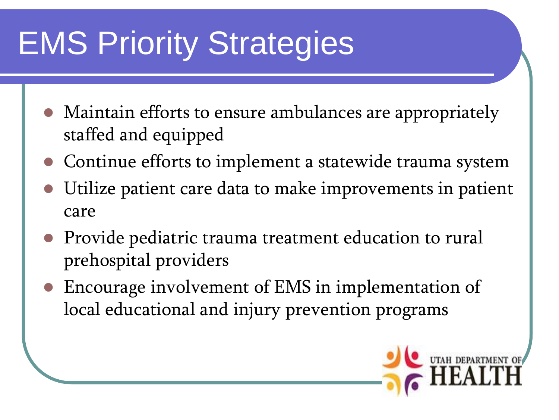# EMS Priority Strategies

- Maintain efforts to ensure ambulances are appropriately staffed and equipped
- Continue efforts to implement a statewide trauma system
- Utilize patient care data to make improvements in patient care
- Provide pediatric trauma treatment education to rural prehospital providers
- Encourage involvement of EMS in implementation of local educational and injury prevention programs

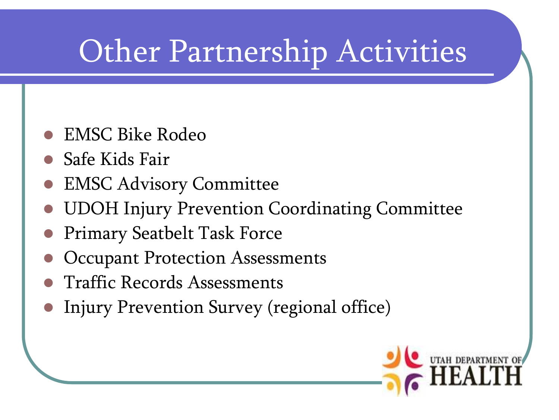### Other Partnership Activities

- EMSC Bike Rodeo
- Safe Kids Fair
- EMSC Advisory Committee
- UDOH Injury Prevention Coordinating Committee
- Primary Seatbelt Task Force
- Occupant Protection Assessments
- Traffic Records Assessments
- Injury Prevention Survey (regional office)

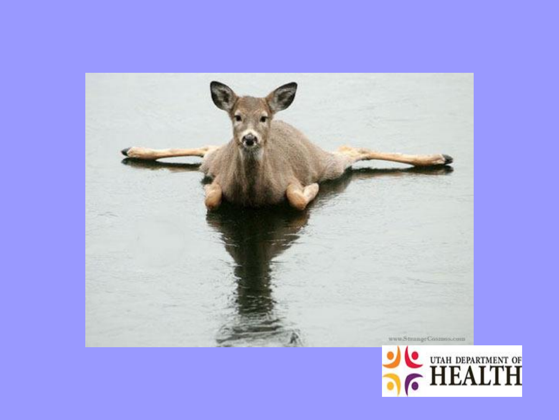

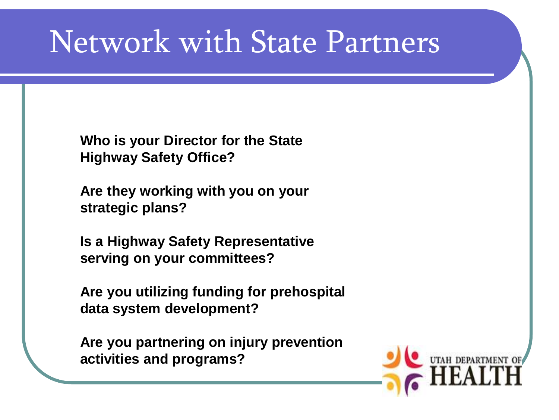### Network with State Partners

**Who is your Director for the State Highway Safety Office?**

**Are they working with you on your strategic plans?**

**Is a Highway Safety Representative serving on your committees?**

**Are you utilizing funding for prehospital data system development?**

**Are you partnering on injury prevention activities and programs?**